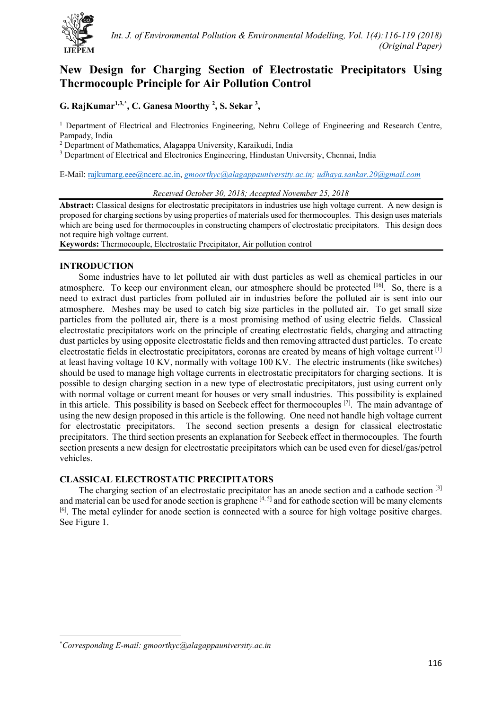

# **New Design for Charging Section of Electrostatic Precipitators Using Thermocouple Principle for Air Pollution Control**

**G. RajKumar1,3,[\\*](#page-0-0) , C. Ganesa Moorthy 2 , S. Sekar 3 ,** 

<sup>1</sup> Department of Electrical and Electronics Engineering, Nehru College of Engineering and Research Centre, Pampady, India

<sup>2</sup> Department of Mathematics, Alagappa University, Karaikudi, India

<sup>3</sup> Department of Electrical and Electronics Engineering, Hindustan University, Chennai, India

E-Mail: [rajkumarg.eee@ncerc.ac.in,](mailto:rajkumarg.eee@ncerc.ac.in) *[gmoorthyc@alagappauniversity.ac.in;](mailto:gmoorthyc@alagappauniversity.ac.in) [udhaya.sankar.20@gmail.com](mailto:udhaya.sankar.20@gmail.com)*

#### *Received October 30, 2018; Accepted November 25, 2018*

**Abstract:** Classical designs for electrostatic precipitators in industries use high voltage current. A new design is proposed for charging sections by using properties of materials used for thermocouples. This design uses materials which are being used for thermocouples in constructing champers of electrostatic precipitators. This design does not require high voltage current.

**Keywords:** Thermocouple, Electrostatic Precipitator, Air pollution control

## **INTRODUCTION**

Some industries have to let polluted air with dust particles as well as chemical particles in our atmosphere. To keep our environment clean, our atmosphere should be protected [16]. So, there is a need to extract dust particles from polluted air in industries before the polluted air is sent into our atmosphere. Meshes may be used to catch big size particles in the polluted air. To get small size particles from the polluted air, there is a most promising method of using electric fields. Classical electrostatic precipitators work on the principle of creating electrostatic fields, charging and attracting dust particles by using opposite electrostatic fields and then removing attracted dust particles. To create electrostatic fields in electrostatic precipitators, coronas are created by means of high voltage current [1] at least having voltage 10 KV, normally with voltage 100 KV. The electric instruments (like switches) should be used to manage high voltage currents in electrostatic precipitators for charging sections. It is possible to design charging section in a new type of electrostatic precipitators, just using current only with normal voltage or current meant for houses or very small industries. This possibility is explained in this article. This possibility is based on Seebeck effect for thermocouples  $[2]$ . The main advantage of using the new design proposed in this article is the following. One need not handle high voltage current for electrostatic precipitators. The second section presents a design for classical electrostatic precipitators. The third section presents an explanation for Seebeck effect in thermocouples. The fourth section presents a new design for electrostatic precipitators which can be used even for diesel/gas/petrol vehicles.

## **CLASSICAL ELECTROSTATIC PRECIPITATORS**

The charging section of an electrostatic precipitator has an anode section and a cathode section [3] and material can be used for anode section is graphene  $[4, 5]$  and for cathode section will be many elements [6]. The metal cylinder for anode section is connected with a source for high voltage positive charges. See Figure 1.

 $\overline{a}$ 

<span id="page-0-0"></span><sup>\*</sup> *Corresponding E-mail: gmoorthyc@alagappauniversity.ac.in*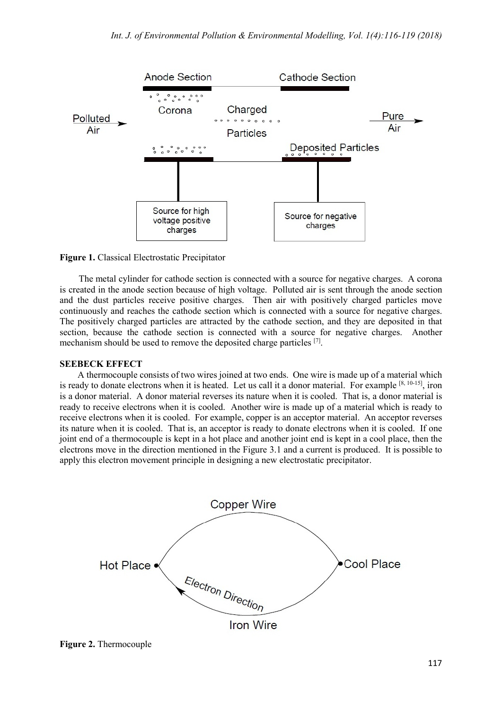

**Figure 1.** Classical Electrostatic Precipitator

The metal cylinder for cathode section is connected with a source for negative charges. A corona is created in the anode section because of high voltage. Polluted air is sent through the anode section and the dust particles receive positive charges. Then air with positively charged particles move continuously and reaches the cathode section which is connected with a source for negative charges. The positively charged particles are attracted by the cathode section, and they are deposited in that section, because the cathode section is connected with a source for negative charges. Another mechanism should be used to remove the deposited charge particles [7].

## **SEEBECK EFFECT**

A thermocouple consists of two wires joined at two ends. One wire is made up of a material which is ready to donate electrons when it is heated. Let us call it a donor material. For example [8, 10-15], iron is a donor material. A donor material reverses its nature when it is cooled. That is, a donor material is ready to receive electrons when it is cooled. Another wire is made up of a material which is ready to receive electrons when it is cooled. For example, copper is an acceptor material. An acceptor reverses its nature when it is cooled. That is, an acceptor is ready to donate electrons when it is cooled. If one joint end of a thermocouple is kept in a hot place and another joint end is kept in a cool place, then the electrons move in the direction mentioned in the Figure 3.1 and a current is produced. It is possible to apply this electron movement principle in designing a new electrostatic precipitator.



**Figure 2.** Thermocouple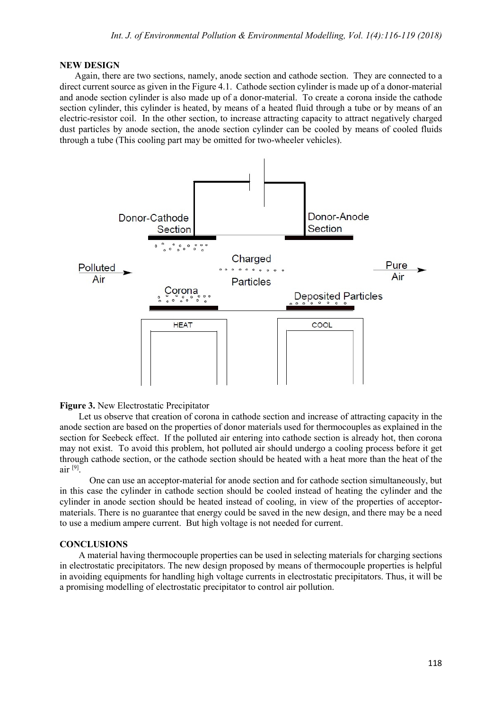#### **NEW DESIGN**

Again, there are two sections, namely, anode section and cathode section. They are connected to a direct current source as given in the Figure 4.1. Cathode section cylinder is made up of a donor-material and anode section cylinder is also made up of a donor-material. To create a corona inside the cathode section cylinder, this cylinder is heated, by means of a heated fluid through a tube or by means of an electric-resistor coil. In the other section, to increase attracting capacity to attract negatively charged dust particles by anode section, the anode section cylinder can be cooled by means of cooled fluids through a tube (This cooling part may be omitted for two-wheeler vehicles).



#### **Figure 3.** New Electrostatic Precipitator

Let us observe that creation of corona in cathode section and increase of attracting capacity in the anode section are based on the properties of donor materials used for thermocouples as explained in the section for Seebeck effect. If the polluted air entering into cathode section is already hot, then corona may not exist. To avoid this problem, hot polluted air should undergo a cooling process before it get through cathode section, or the cathode section should be heated with a heat more than the heat of the  $air [9]$ 

One can use an acceptor-material for anode section and for cathode section simultaneously, but in this case the cylinder in cathode section should be cooled instead of heating the cylinder and the cylinder in anode section should be heated instead of cooling, in view of the properties of acceptormaterials. There is no guarantee that energy could be saved in the new design, and there may be a need to use a medium ampere current. But high voltage is not needed for current.

#### **CONCLUSIONS**

A material having thermocouple properties can be used in selecting materials for charging sections in electrostatic precipitators. The new design proposed by means of thermocouple properties is helpful in avoiding equipments for handling high voltage currents in electrostatic precipitators. Thus, it will be a promising modelling of electrostatic precipitator to control air pollution.